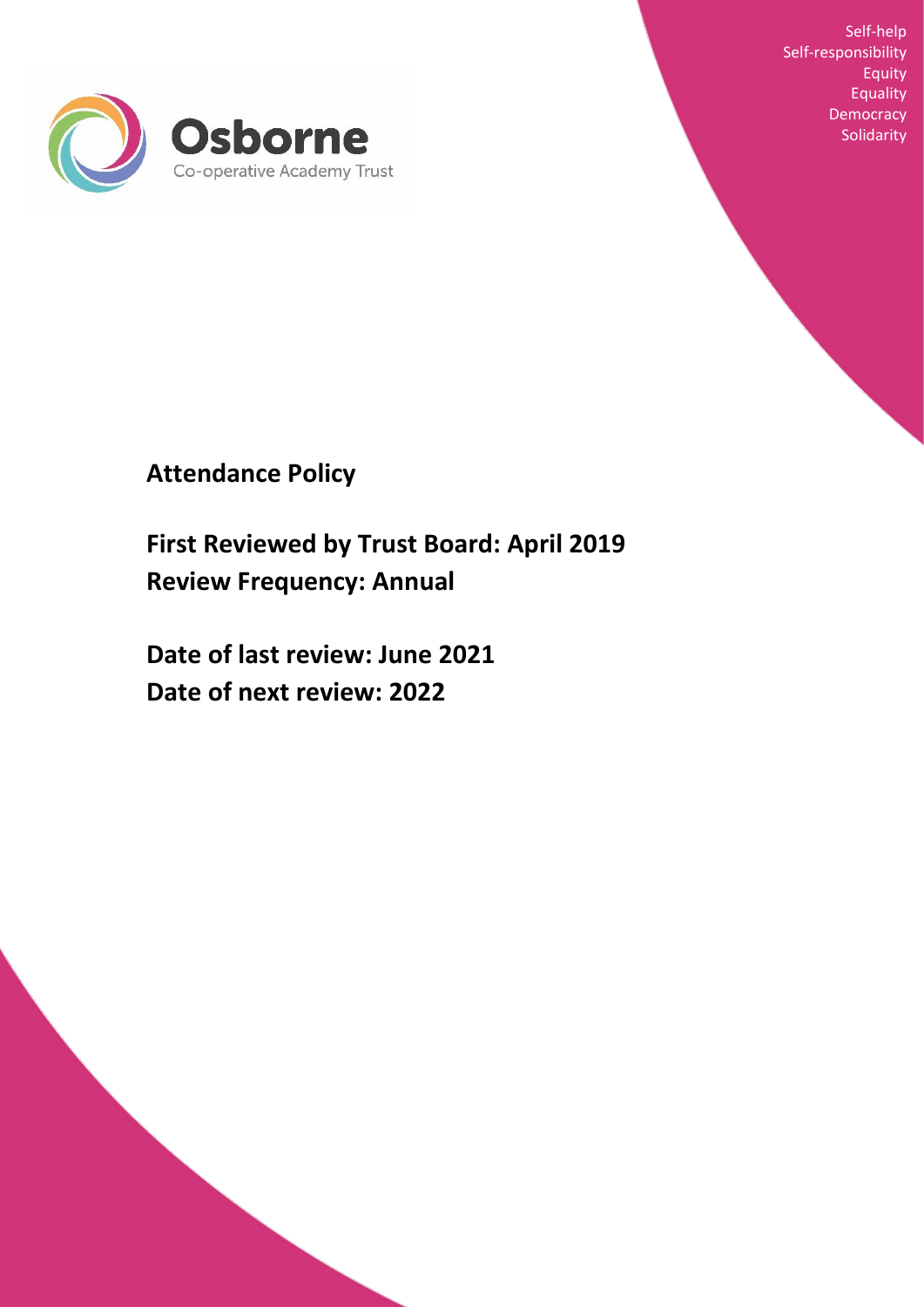

Self-help Self-responsibility Equity Equality **Democracy Solidarity** 

# **Attendance Policy**

**First Reviewed by Trust Board: April 2019 Review Frequency: Annual**

**Date of last review: June 2021 Date of next review: 2022**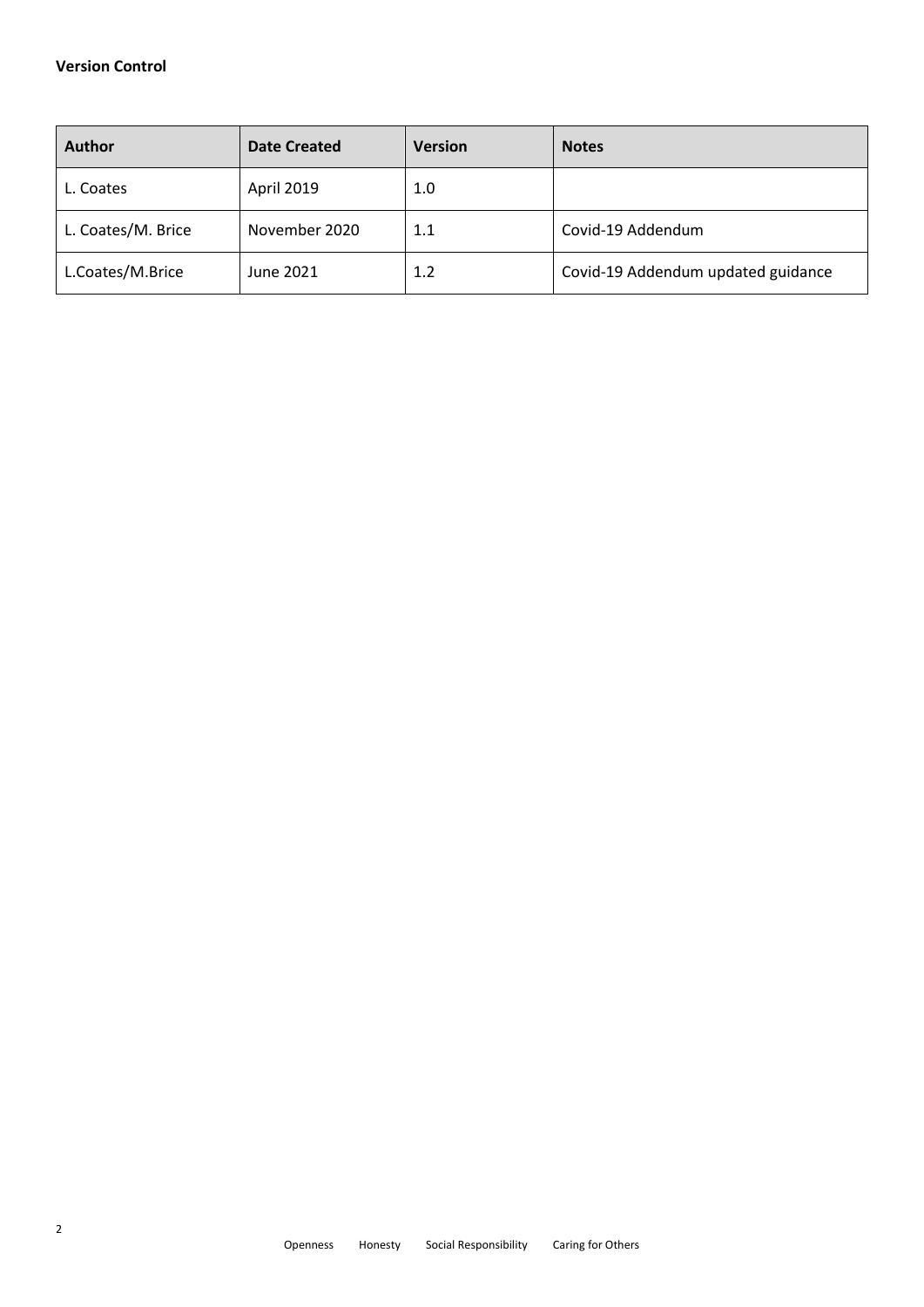| <b>Author</b>      | Date Created  | <b>Version</b> | <b>Notes</b>                       |
|--------------------|---------------|----------------|------------------------------------|
| L. Coates          | April 2019    | 1.0            |                                    |
| L. Coates/M. Brice | November 2020 | 1.1            | Covid-19 Addendum                  |
| L.Coates/M.Brice   | June 2021     | 1.2            | Covid-19 Addendum updated guidance |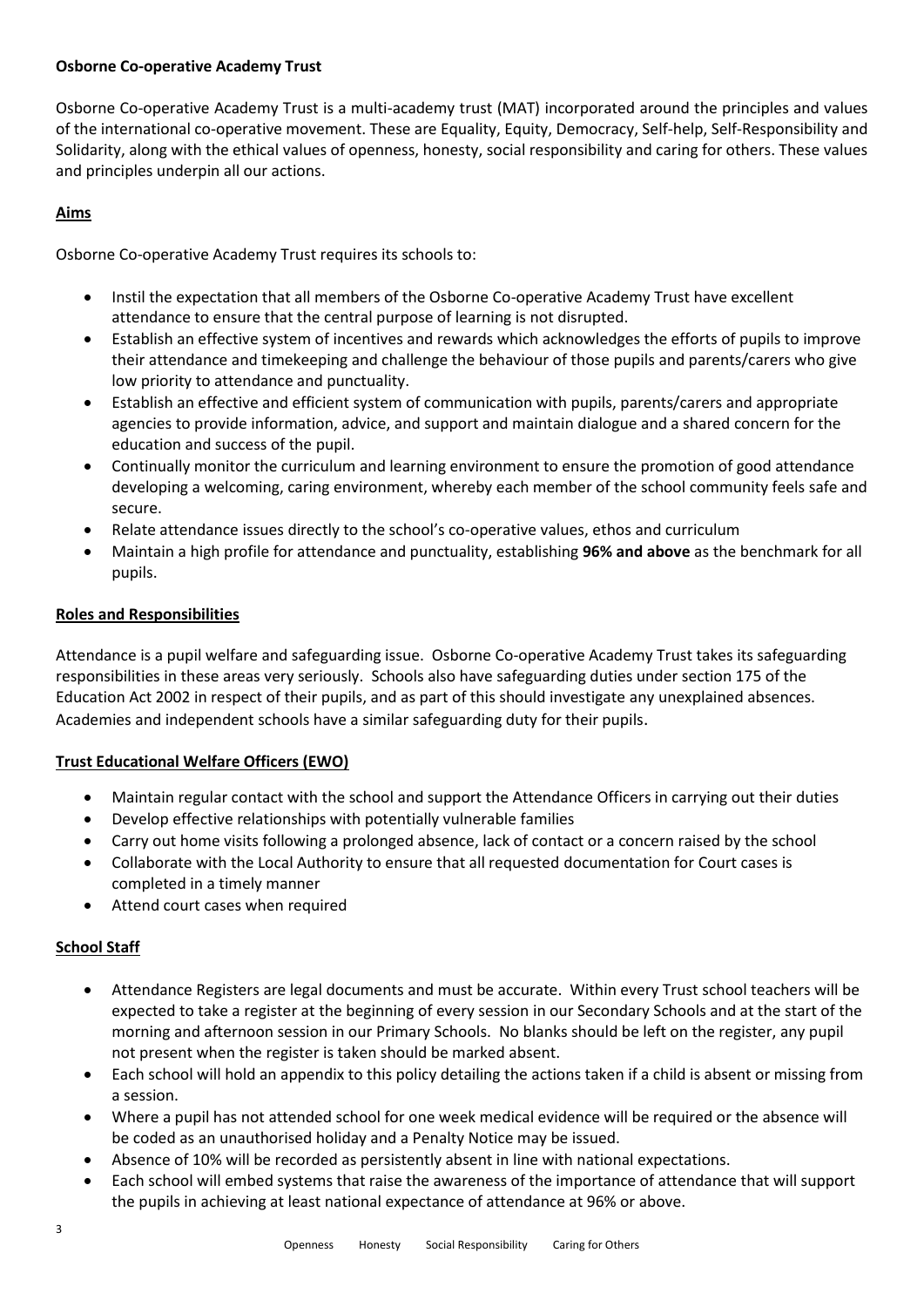## **Osborne Co-operative Academy Trust**

Osborne Co-operative Academy Trust is a multi-academy trust (MAT) incorporated around the principles and values of the international co-operative movement. These are Equality, Equity, Democracy, Self-help, Self-Responsibility and Solidarity, along with the ethical values of openness, honesty, social responsibility and caring for others. These values and principles underpin all our actions.

## **Aims**

Osborne Co-operative Academy Trust requires its schools to:

- Instil the expectation that all members of the Osborne Co-operative Academy Trust have excellent attendance to ensure that the central purpose of learning is not disrupted.
- Establish an effective system of incentives and rewards which acknowledges the efforts of pupils to improve their attendance and timekeeping and challenge the behaviour of those pupils and parents/carers who give low priority to attendance and punctuality.
- Establish an effective and efficient system of communication with pupils, parents/carers and appropriate agencies to provide information, advice, and support and maintain dialogue and a shared concern for the education and success of the pupil.
- Continually monitor the curriculum and learning environment to ensure the promotion of good attendance developing a welcoming, caring environment, whereby each member of the school community feels safe and secure.
- Relate attendance issues directly to the school's co-operative values, ethos and curriculum
- Maintain a high profile for attendance and punctuality, establishing **96% and above** as the benchmark for all pupils.

#### **Roles and Responsibilities**

Attendance is a pupil welfare and safeguarding issue. Osborne Co-operative Academy Trust takes its safeguarding responsibilities in these areas very seriously. Schools also have safeguarding duties under section 175 of the Education Act 2002 in respect of their pupils, and as part of this should investigate any unexplained absences. Academies and independent schools have a similar safeguarding duty for their pupils.

#### **Trust Educational Welfare Officers (EWO)**

- Maintain regular contact with the school and support the Attendance Officers in carrying out their duties
- Develop effective relationships with potentially vulnerable families
- Carry out home visits following a prolonged absence, lack of contact or a concern raised by the school
- Collaborate with the Local Authority to ensure that all requested documentation for Court cases is completed in a timely manner
- Attend court cases when required

#### **School Staff**

- Attendance Registers are legal documents and must be accurate. Within every Trust school teachers will be expected to take a register at the beginning of every session in our Secondary Schools and at the start of the morning and afternoon session in our Primary Schools. No blanks should be left on the register, any pupil not present when the register is taken should be marked absent.
- Each school will hold an appendix to this policy detailing the actions taken if a child is absent or missing from a session.
- Where a pupil has not attended school for one week medical evidence will be required or the absence will be coded as an unauthorised holiday and a Penalty Notice may be issued.
- Absence of 10% will be recorded as persistently absent in line with national expectations.
- Each school will embed systems that raise the awareness of the importance of attendance that will support the pupils in achieving at least national expectance of attendance at 96% or above.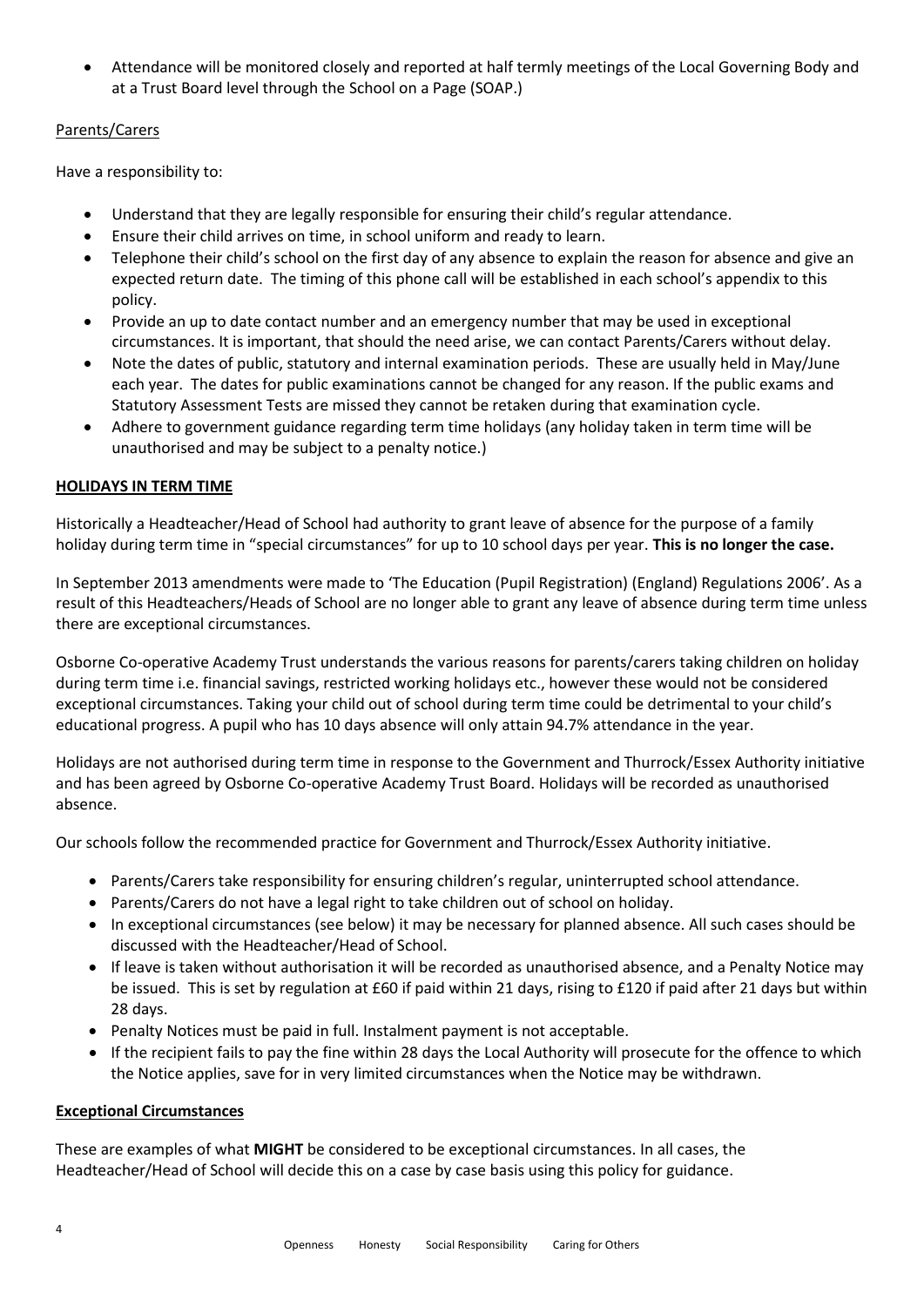Attendance will be monitored closely and reported at half termly meetings of the Local Governing Body and at a Trust Board level through the School on a Page (SOAP.)

# Parents/Carers

Have a responsibility to:

- Understand that they are legally responsible for ensuring their child's regular attendance.
- Ensure their child arrives on time, in school uniform and ready to learn.
- Telephone their child's school on the first day of any absence to explain the reason for absence and give an expected return date. The timing of this phone call will be established in each school's appendix to this policy.
- Provide an up to date contact number and an emergency number that may be used in exceptional circumstances. It is important, that should the need arise, we can contact Parents/Carers without delay.
- Note the dates of public, statutory and internal examination periods. These are usually held in May/June each year. The dates for public examinations cannot be changed for any reason. If the public exams and Statutory Assessment Tests are missed they cannot be retaken during that examination cycle.
- Adhere to government guidance regarding term time holidays (any holiday taken in term time will be unauthorised and may be subject to a penalty notice.)

# **HOLIDAYS IN TERM TIME**

Historically a Headteacher/Head of School had authority to grant leave of absence for the purpose of a family holiday during term time in "special circumstances" for up to 10 school days per year. **This is no longer the case.**

In September 2013 amendments were made to 'The Education (Pupil Registration) (England) Regulations 2006'. As a result of this Headteachers/Heads of School are no longer able to grant any leave of absence during term time unless there are exceptional circumstances.

Osborne Co-operative Academy Trust understands the various reasons for parents/carers taking children on holiday during term time i.e. financial savings, restricted working holidays etc., however these would not be considered exceptional circumstances. Taking your child out of school during term time could be detrimental to your child's educational progress. A pupil who has 10 days absence will only attain 94.7% attendance in the year.

Holidays are not authorised during term time in response to the Government and Thurrock/Essex Authority initiative and has been agreed by Osborne Co-operative Academy Trust Board. Holidays will be recorded as unauthorised absence.

Our schools follow the recommended practice for Government and Thurrock/Essex Authority initiative.

- Parents/Carers take responsibility for ensuring children's regular, uninterrupted school attendance.
- Parents/Carers do not have a legal right to take children out of school on holiday.
- In exceptional circumstances (see below) it may be necessary for planned absence. All such cases should be discussed with the Headteacher/Head of School.
- If leave is taken without authorisation it will be recorded as unauthorised absence, and a Penalty Notice may be issued. This is set by regulation at £60 if paid within 21 days, rising to £120 if paid after 21 days but within 28 days.
- Penalty Notices must be paid in full. Instalment payment is not acceptable.
- If the recipient fails to pay the fine within 28 days the Local Authority will prosecute for the offence to which the Notice applies, save for in very limited circumstances when the Notice may be withdrawn.

# **Exceptional Circumstances**

These are examples of what **MIGHT** be considered to be exceptional circumstances. In all cases, the Headteacher/Head of School will decide this on a case by case basis using this policy for guidance.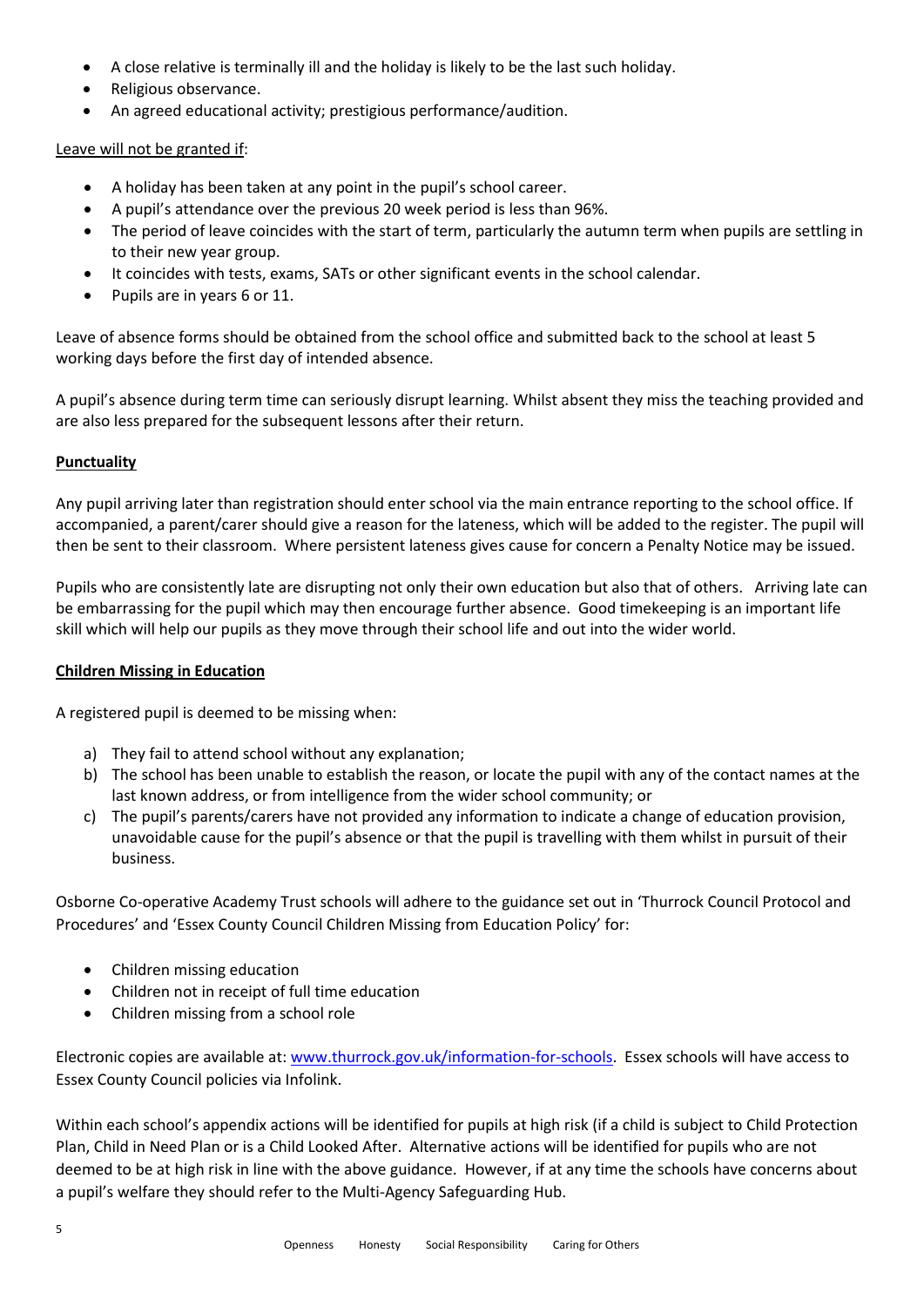- A close relative is terminally ill and the holiday is likely to be the last such holiday.
- Religious observance.
- An agreed educational activity; prestigious performance/audition.

## Leave will not be granted if:

- A holiday has been taken at any point in the pupil's school career.
- A pupil's attendance over the previous 20 week period is less than 96%.
- The period of leave coincides with the start of term, particularly the autumn term when pupils are settling in to their new year group.
- It coincides with tests, exams, SATs or other significant events in the school calendar.
- Pupils are in years 6 or 11.

Leave of absence forms should be obtained from the school office and submitted back to the school at least 5 working days before the first day of intended absence.

A pupil's absence during term time can seriously disrupt learning. Whilst absent they miss the teaching provided and are also less prepared for the subsequent lessons after their return.

# **Punctuality**

Any pupil arriving later than registration should enter school via the main entrance reporting to the school office. If accompanied, a parent/carer should give a reason for the lateness, which will be added to the register. The pupil will then be sent to their classroom. Where persistent lateness gives cause for concern a Penalty Notice may be issued.

Pupils who are consistently late are disrupting not only their own education but also that of others. Arriving late can be embarrassing for the pupil which may then encourage further absence. Good timekeeping is an important life skill which will help our pupils as they move through their school life and out into the wider world.

# **Children Missing in Education**

A registered pupil is deemed to be missing when:

- a) They fail to attend school without any explanation;
- b) The school has been unable to establish the reason, or locate the pupil with any of the contact names at the last known address, or from intelligence from the wider school community; or
- c) The pupil's parents/carers have not provided any information to indicate a change of education provision, unavoidable cause for the pupil's absence or that the pupil is travelling with them whilst in pursuit of their business.

Osborne Co-operative Academy Trust schools will adhere to the guidance set out in 'Thurrock Council Protocol and Procedures' and 'Essex County Council Children Missing from Education Policy' for:

- Children missing education
- Children not in receipt of full time education
- Children missing from a school role

Electronic copies are available at: [www.thurrock.gov.uk/information-for-schools.](http://www.thurrock.gov.uk/information-for-schools) Essex schools will have access to Essex County Council policies via Infolink.

Within each school's appendix actions will be identified for pupils at high risk (if a child is subject to Child Protection Plan, Child in Need Plan or is a Child Looked After. Alternative actions will be identified for pupils who are not deemed to be at high risk in line with the above guidance. However, if at any time the schools have concerns about a pupil's welfare they should refer to the Multi-Agency Safeguarding Hub.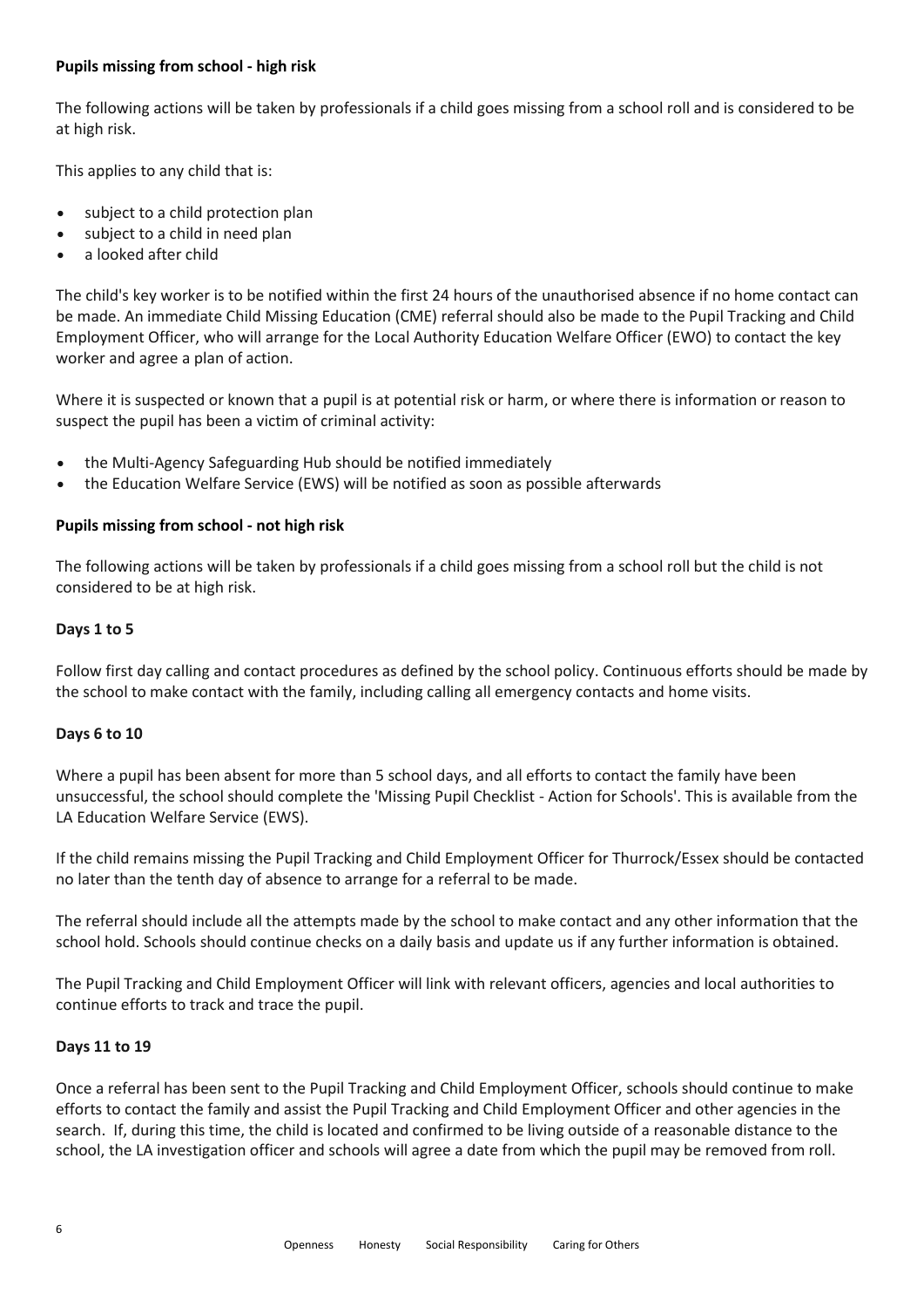## **Pupils missing from school - high risk**

The following actions will be taken by professionals if a child goes missing from a school roll and is considered to be at high risk.

This applies to any child that is:

- subject to a child protection plan
- subject to a child in need plan
- a looked after child

The child's key worker is to be notified within the first 24 hours of the unauthorised absence if no home contact can be made. An immediate Child Missing Education (CME) referral should also be made to the Pupil Tracking and Child Employment Officer, who will arrange for the Local Authority Education Welfare Officer (EWO) to contact the key worker and agree a plan of action.

Where it is suspected or known that a pupil is at potential risk or harm, or where there is information or reason to suspect the pupil has been a victim of criminal activity:

- the Multi-Agency Safeguarding Hub should be notified immediately
- the Education Welfare Service (EWS) will be notified as soon as possible afterwards

## **Pupils missing from school - not high risk**

The following actions will be taken by professionals if a child goes missing from a school roll but the child is not considered to be at high risk.

#### **Days 1 to 5**

Follow first day calling and contact procedures as defined by the school policy. Continuous efforts should be made by the school to make contact with the family, including calling all emergency contacts and home visits.

#### **Days 6 to 10**

Where a pupil has been absent for more than 5 school days, and all efforts to contact the family have been unsuccessful, the school should complete the 'Missing Pupil Checklist - Action for Schools'. This is available from the LA Education Welfare Service (EWS).

If the child remains missing the Pupil Tracking and Child Employment Officer for Thurrock/Essex should be contacted no later than the tenth day of absence to arrange for a referral to be made.

The referral should include all the attempts made by the school to make contact and any other information that the school hold. Schools should continue checks on a daily basis and update us if any further information is obtained.

The Pupil Tracking and Child Employment Officer will link with relevant officers, agencies and local authorities to continue efforts to track and trace the pupil.

#### **Days 11 to 19**

Once a referral has been sent to the Pupil Tracking and Child Employment Officer, schools should continue to make efforts to contact the family and assist the Pupil Tracking and Child Employment Officer and other agencies in the search. If, during this time, the child is located and confirmed to be living outside of a reasonable distance to the school, the LA investigation officer and schools will agree a date from which the pupil may be removed from roll.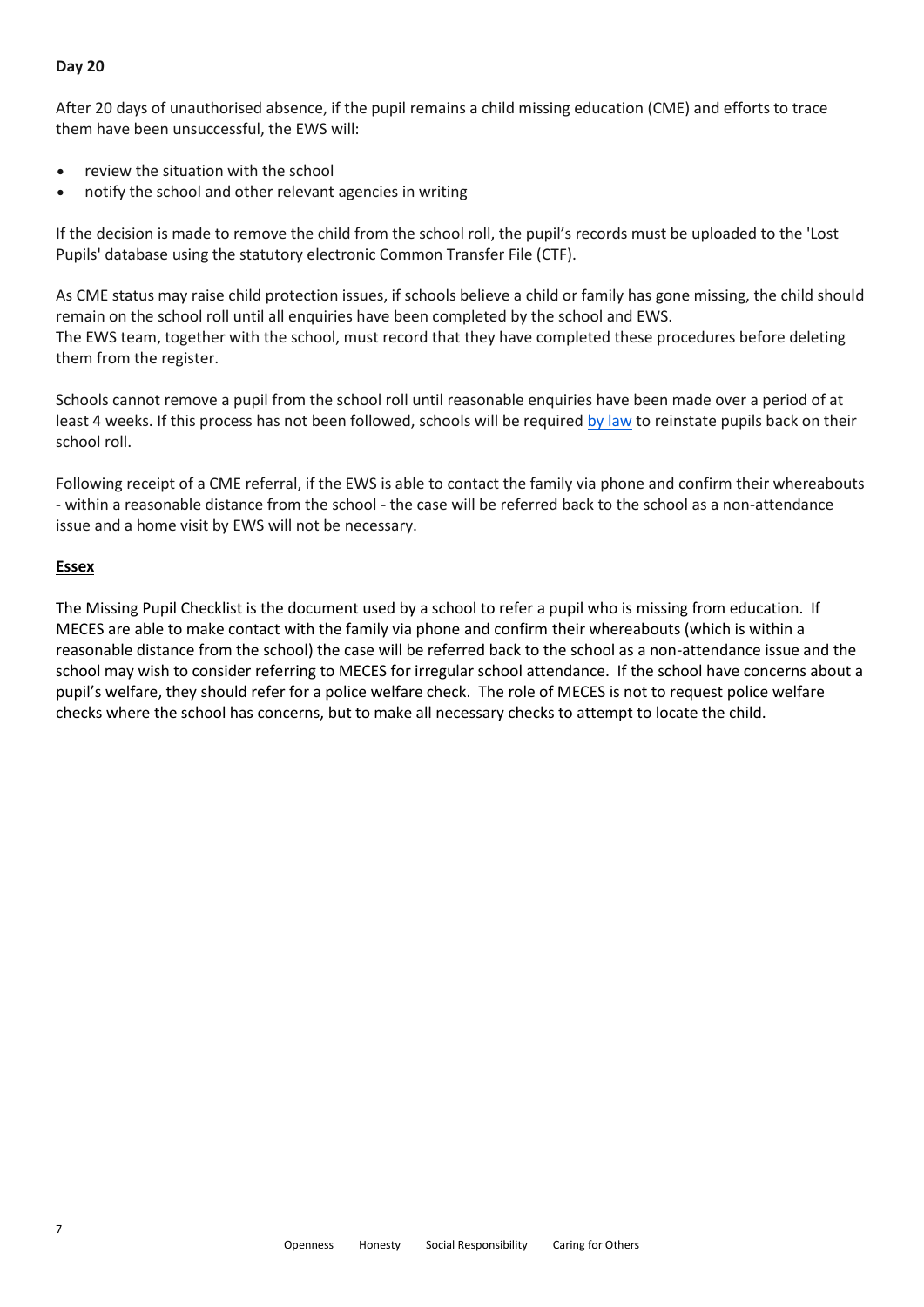#### **Day 20**

After 20 days of unauthorised absence, if the pupil remains a child missing education (CME) and efforts to trace them have been unsuccessful, the EWS will:

- review the situation with the school
- notify the school and other relevant agencies in writing

If the decision is made to remove the child from the school roll, the pupil's records must be uploaded to the 'Lost Pupils' database using the statutory electronic Common Transfer File (CTF).

As CME status may raise child protection issues, if schools believe a child or family has gone missing, the child should remain on the school roll until all enquiries have been completed by the school and EWS. The EWS team, together with the school, must record that they have completed these procedures before deleting them from the register.

Schools cannot remove a pupil from the school roll until reasonable enquiries have been made over a period of at least 4 weeks. If this process has not been followed, schools will be required [by law](http://www.legislation.gov.uk/uksi/2006/1751/contents/made) to reinstate pupils back on their school roll.

Following receipt of a CME referral, if the EWS is able to contact the family via phone and confirm their whereabouts - within a reasonable distance from the school - the case will be referred back to the school as a non-attendance issue and a home visit by EWS will not be necessary.

## **Essex**

The Missing Pupil Checklist is the document used by a school to refer a pupil who is missing from education. If MECES are able to make contact with the family via phone and confirm their whereabouts (which is within a reasonable distance from the school) the case will be referred back to the school as a non-attendance issue and the school may wish to consider referring to MECES for irregular school attendance. If the school have concerns about a pupil's welfare, they should refer for a police welfare check. The role of MECES is not to request police welfare checks where the school has concerns, but to make all necessary checks to attempt to locate the child.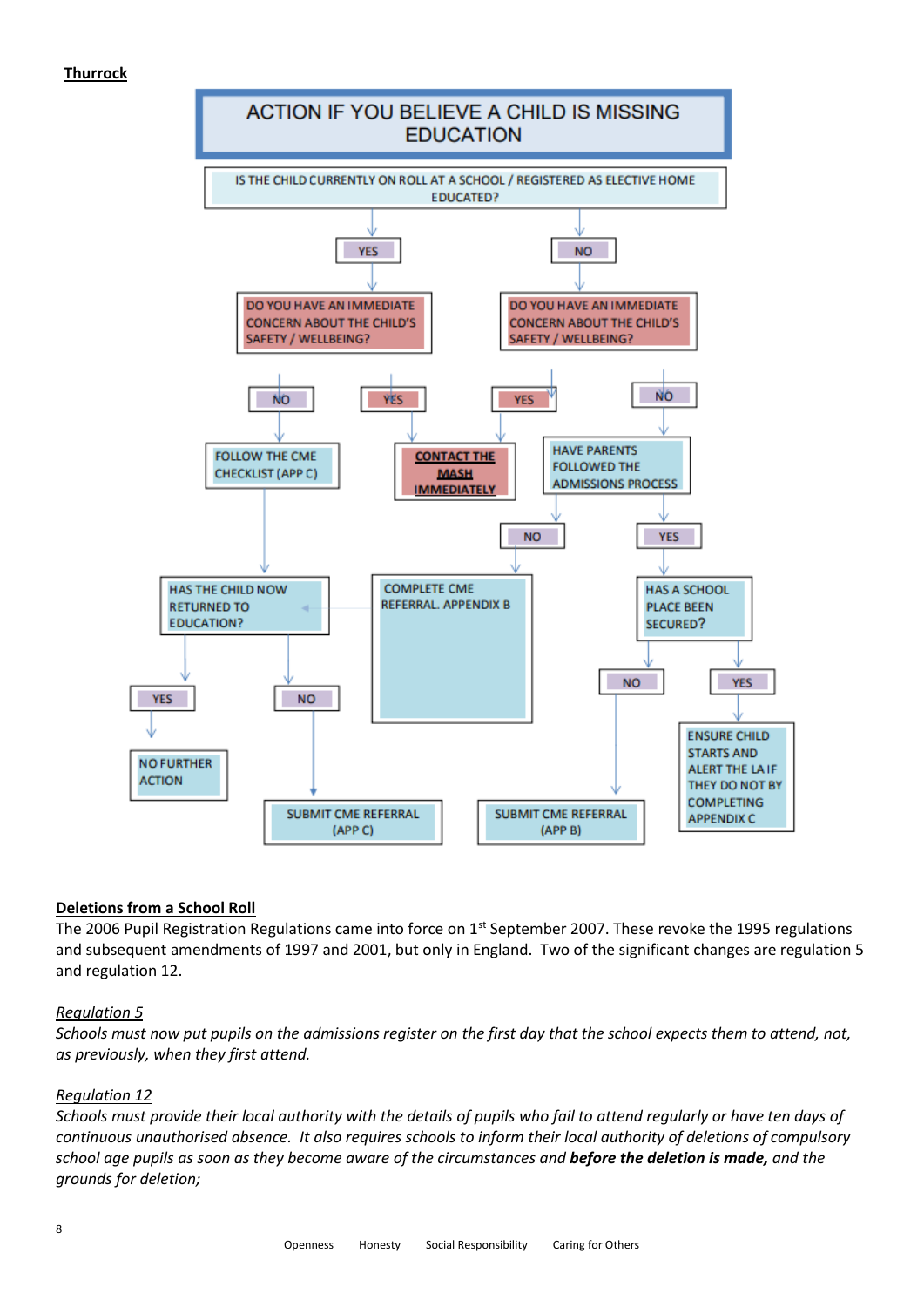## **Thurrock**



#### **Deletions from a School Roll**

The 2006 Pupil Registration Regulations came into force on 1<sup>st</sup> September 2007. These revoke the 1995 regulations and subsequent amendments of 1997 and 2001, but only in England. Two of the significant changes are regulation 5 and regulation 12.

#### *Regulation 5*

*Schools must now put pupils on the admissions register on the first day that the school expects them to attend, not, as previously, when they first attend.*

#### *Regulation 12*

*Schools must provide their local authority with the details of pupils who fail to attend regularly or have ten days of continuous unauthorised absence. It also requires schools to inform their local authority of deletions of compulsory school age pupils as soon as they become aware of the circumstances and before the deletion is made, and the grounds for deletion;*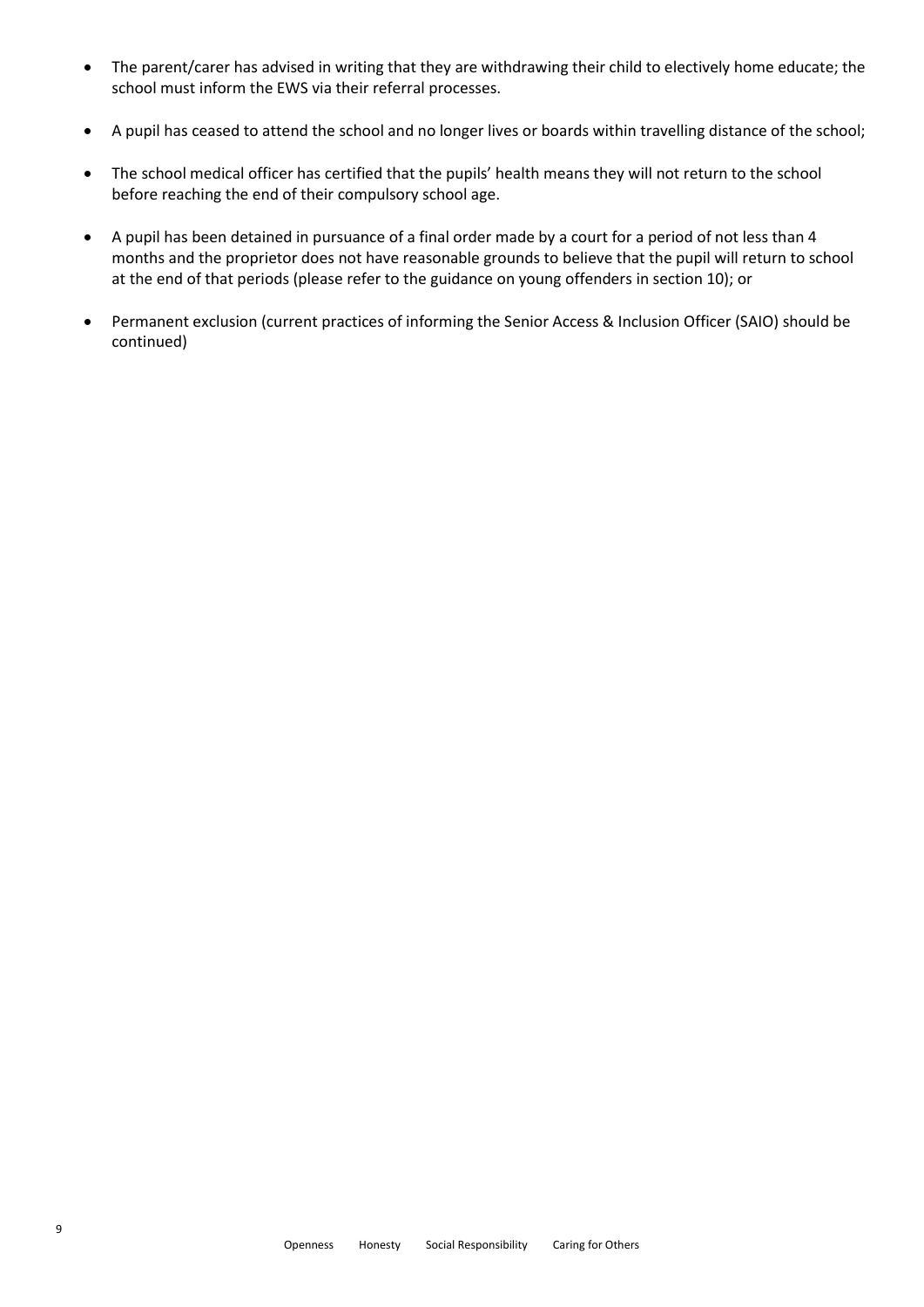- The parent/carer has advised in writing that they are withdrawing their child to electively home educate; the school must inform the EWS via their referral processes.
- A pupil has ceased to attend the school and no longer lives or boards within travelling distance of the school;
- The school medical officer has certified that the pupils' health means they will not return to the school before reaching the end of their compulsory school age.
- A pupil has been detained in pursuance of a final order made by a court for a period of not less than 4 months and the proprietor does not have reasonable grounds to believe that the pupil will return to school at the end of that periods (please refer to the guidance on young offenders in section 10); or
- Permanent exclusion (current practices of informing the Senior Access & Inclusion Officer (SAIO) should be continued)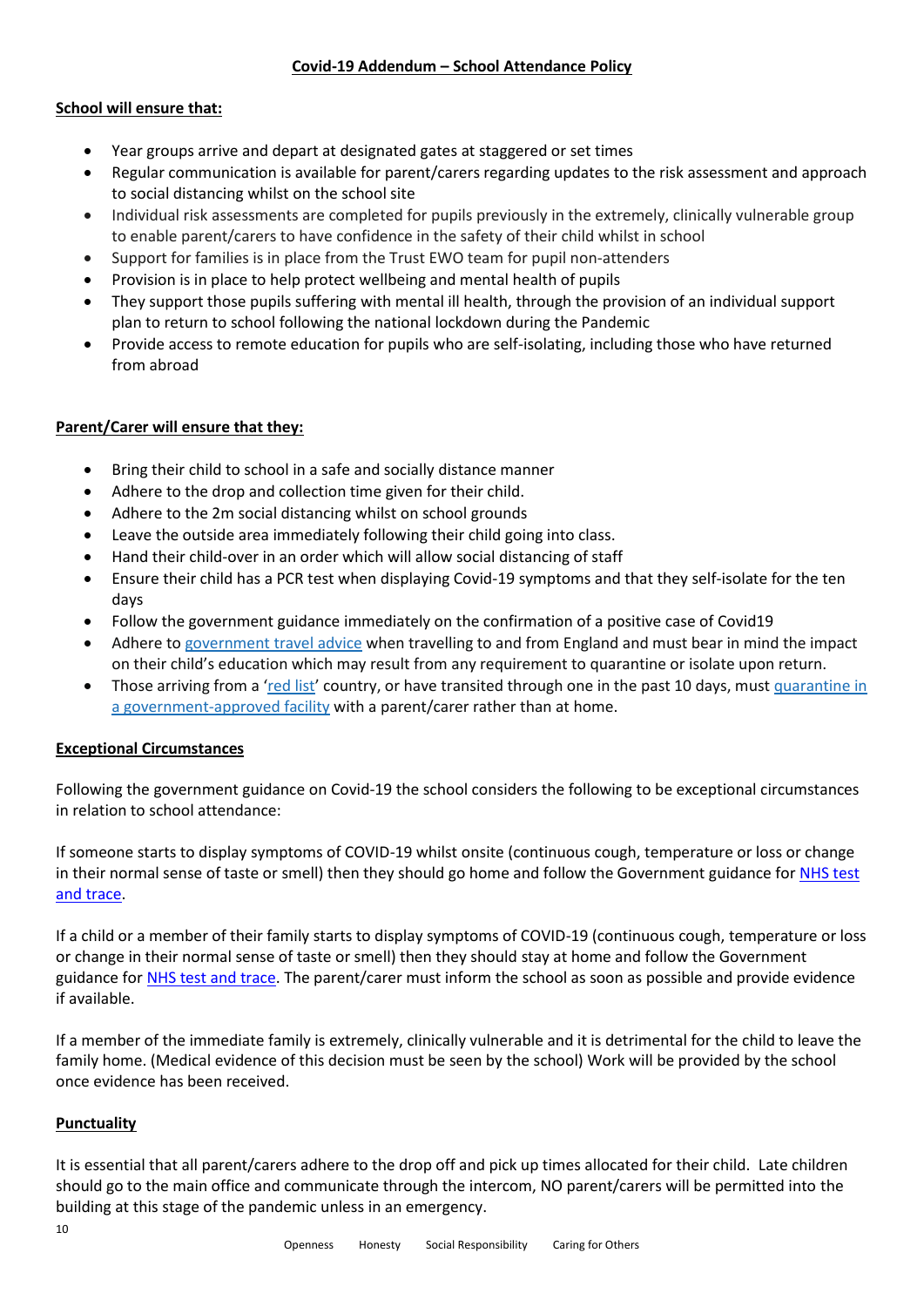# **School will ensure that:**

- Year groups arrive and depart at designated gates at staggered or set times
- Regular communication is available for parent/carers regarding updates to the risk assessment and approach to social distancing whilst on the school site
- Individual risk assessments are completed for pupils previously in the extremely, clinically vulnerable group to enable parent/carers to have confidence in the safety of their child whilst in school
- Support for families is in place from the Trust EWO team for pupil non-attenders
- Provision is in place to help protect wellbeing and mental health of pupils
- They support those pupils suffering with mental ill health, through the provision of an individual support plan to return to school following the national lockdown during the Pandemic
- Provide access to remote education for pupils who are self-isolating, including those who have returned from abroad

# **Parent/Carer will ensure that they:**

- Bring their child to school in a safe and socially distance manner
- Adhere to the drop and collection time given for their child.
- Adhere to the 2m social distancing whilst on school grounds
- Leave the outside area immediately following their child going into class.
- Hand their child-over in an order which will allow social distancing of staff
- Ensure their child has a PCR test when displaying Covid-19 symptoms and that they self-isolate for the ten days
- Follow the government guidance immediately on the confirmation of a positive case of Covid19
- Adhere to [government](https://www.gov.uk/guidance/red-amber-and-green-list-rules-for-entering-england) travel advice when travelling to and from England and must bear in mind the impact on their child's education which may result from any requirement to quarantine or isolate upon return.
- Those arriving from a '[red](https://www.gov.uk/guidance/transport-measures-to-protect-the-uk-from-variant-strains-of-covid-19) list' country, or have transited through one in the past 10 days, must [quarantine](https://www.gov.uk/guidance/booking-and-staying-in-a-quarantine-hotel-when-you-arrive-in-england#exemptions) in a [government-approved](https://www.gov.uk/guidance/booking-and-staying-in-a-quarantine-hotel-when-you-arrive-in-england#exemptions) facility with a parent/carer rather than at home.

# **Exceptional Circumstances**

Following the government guidance on Covid-19 the school considers the following to be exceptional circumstances in relation to school attendance:

If someone starts to display symptoms of COVID-19 whilst onsite (continuous cough, temperature or loss or change in their normal sense of taste or smell) then they should go home and follow the Government guidance for NHS test [and trace.](https://www.nhs.uk/conditions/coronavirus-covid-19/testing-and-tracing/)

If a child or a member of their family starts to display symptoms of COVID-19 (continuous cough, temperature or loss or change in their normal sense of taste or smell) then they should stay at home and follow the Government guidance fo[r NHS test and trace.](https://www.nhs.uk/conditions/coronavirus-covid-19/testing-and-tracing/) The parent/carer must inform the school as soon as possible and provide evidence if available.

If a member of the immediate family is extremely, clinically vulnerable and it is detrimental for the child to leave the family home. (Medical evidence of this decision must be seen by the school) Work will be provided by the school once evidence has been received.

# **Punctuality**

It is essential that all parent/carers adhere to the drop off and pick up times allocated for their child. Late children should go to the main office and communicate through the intercom, NO parent/carers will be permitted into the building at this stage of the pandemic unless in an emergency.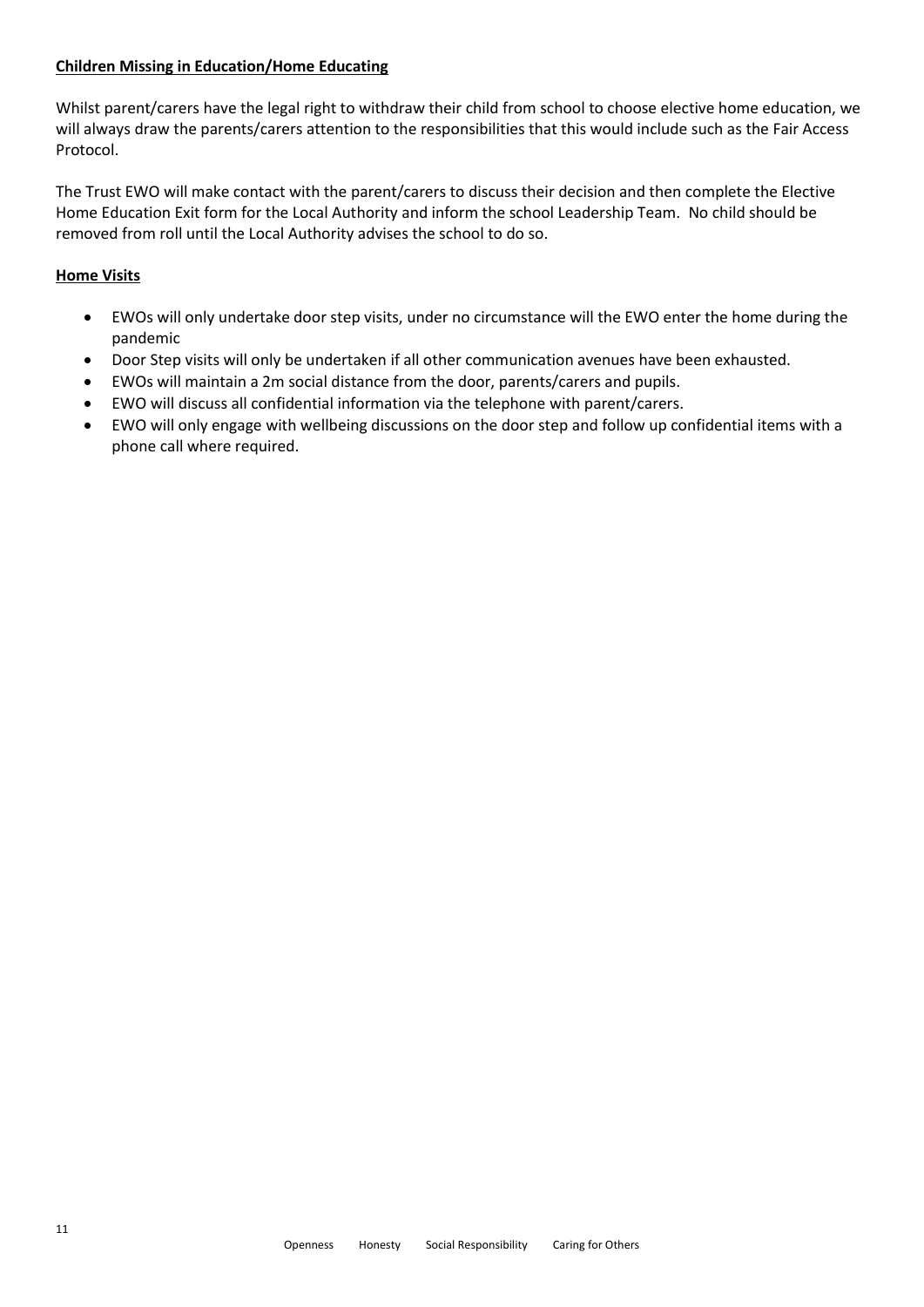## **Children Missing in Education/Home Educating**

Whilst parent/carers have the legal right to withdraw their child from school to choose elective home education, we will always draw the parents/carers attention to the responsibilities that this would include such as the Fair Access Protocol.

The Trust EWO will make contact with the parent/carers to discuss their decision and then complete the Elective Home Education Exit form for the Local Authority and inform the school Leadership Team. No child should be removed from roll until the Local Authority advises the school to do so.

## **Home Visits**

- EWOs will only undertake door step visits, under no circumstance will the EWO enter the home during the pandemic
- Door Step visits will only be undertaken if all other communication avenues have been exhausted.
- EWOs will maintain a 2m social distance from the door, parents/carers and pupils.
- EWO will discuss all confidential information via the telephone with parent/carers.
- EWO will only engage with wellbeing discussions on the door step and follow up confidential items with a phone call where required.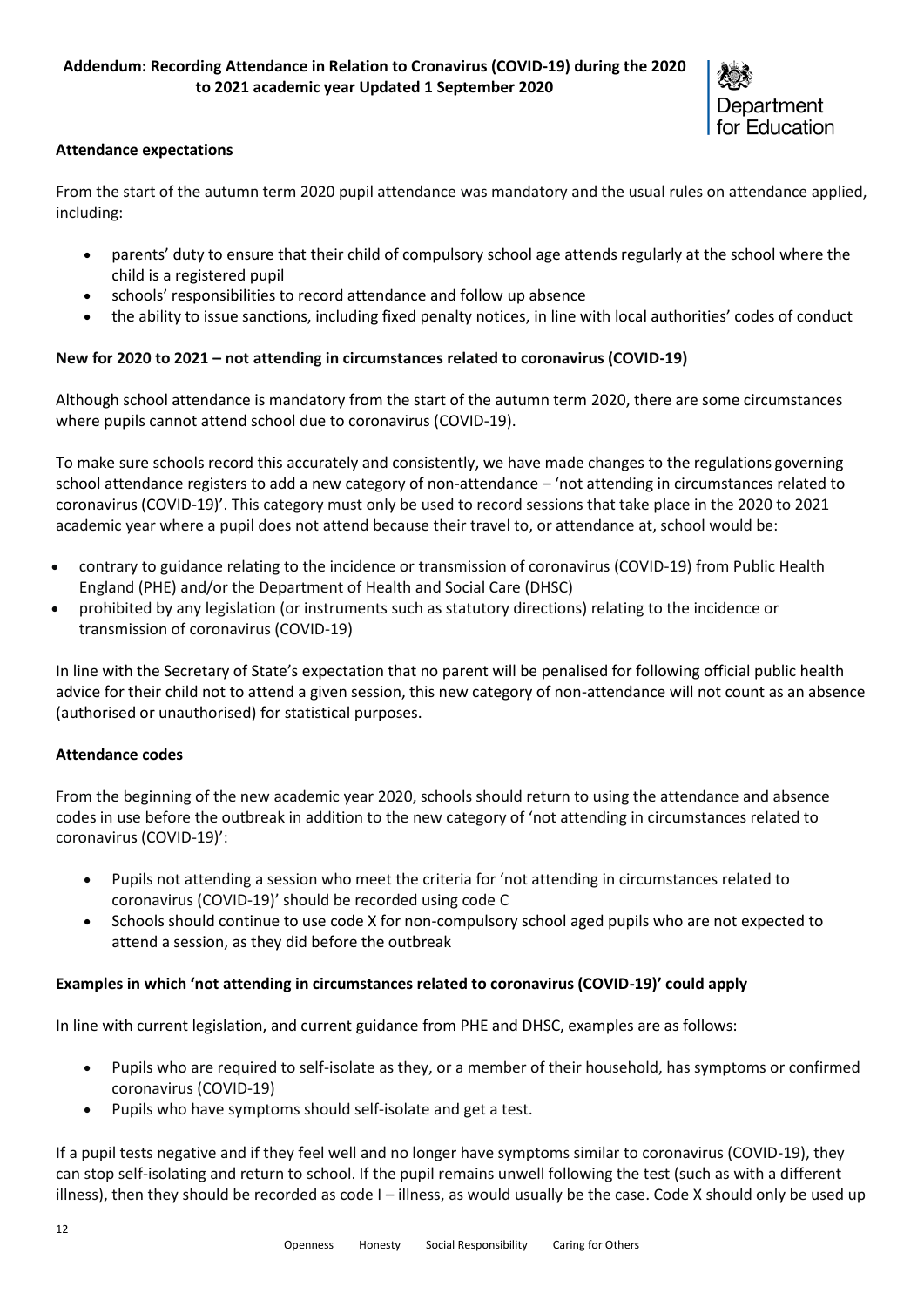

## **Attendance expectations**

From the start of the autumn term 2020 pupil attendance was mandatory and the usual rules on attendance applied, including:

- parents' duty to ensure that their child of compulsory school age attends regularly at the school where the child is a registered pupil
- schools' responsibilities to record attendance and follow up absence
- the ability to issue sanctions, including fixed penalty notices, in line with local authorities' codes of conduct

## **New for 2020 to 2021 – not attending in circumstances related to coronavirus (COVID-19)**

Although school attendance is mandatory from the start of the autumn term 2020, there are some circumstances where pupils cannot attend school due to coronavirus (COVID-19).

To make sure schools record this accurately and consistently, we have made changes to the regulations governing school attendance registers to add a new category of non-attendance – 'not attending in circumstances related to coronavirus (COVID-19)'. This category must only be used to record sessions that take place in the 2020 to 2021 academic year where a pupil does not attend because their travel to, or attendance at, school would be:

- contrary to guidance relating to the incidence or transmission of coronavirus (COVID-19) from Public Health England (PHE) and/or the Department of Health and Social Care (DHSC)
- prohibited by any legislation (or instruments such as statutory directions) relating to the incidence or transmission of coronavirus (COVID-19)

In line with the Secretary of State's expectation that no parent will be penalised for following official public health advice for their child not to attend a given session, this new category of non-attendance will not count as an absence (authorised or unauthorised) for statistical purposes.

#### **Attendance codes**

From the beginning of the new academic year 2020, schools should return to using the attendance and absence codes in use before the outbreak in addition to the new category of 'not attending in circumstances related to coronavirus (COVID-19)':

- Pupils not attending a session who meet the criteria for 'not attending in circumstances related to coronavirus (COVID-19)' should be recorded using code C
- Schools should continue to use code X for non-compulsory school aged pupils who are not expected to attend a session, as they did before the outbreak

#### **Examples in which 'not attending in circumstances related to coronavirus (COVID-19)' could apply**

In line with current legislation, and current guidance from PHE and DHSC, examples are as follows:

- Pupils who are required to self-isolate as they, or a member of their household, has symptoms or confirmed coronavirus (COVID-19)
- Pupils who have symptoms should self-isolate and get a test.

If a pupil tests negative and if they feel well and no longer have symptoms similar to coronavirus (COVID-19), they can stop self-isolating and return to school. If the pupil remains unwell following the test (such as with a different illness), then they should be recorded as code I – illness, as would usually be the case. Code X should only be used up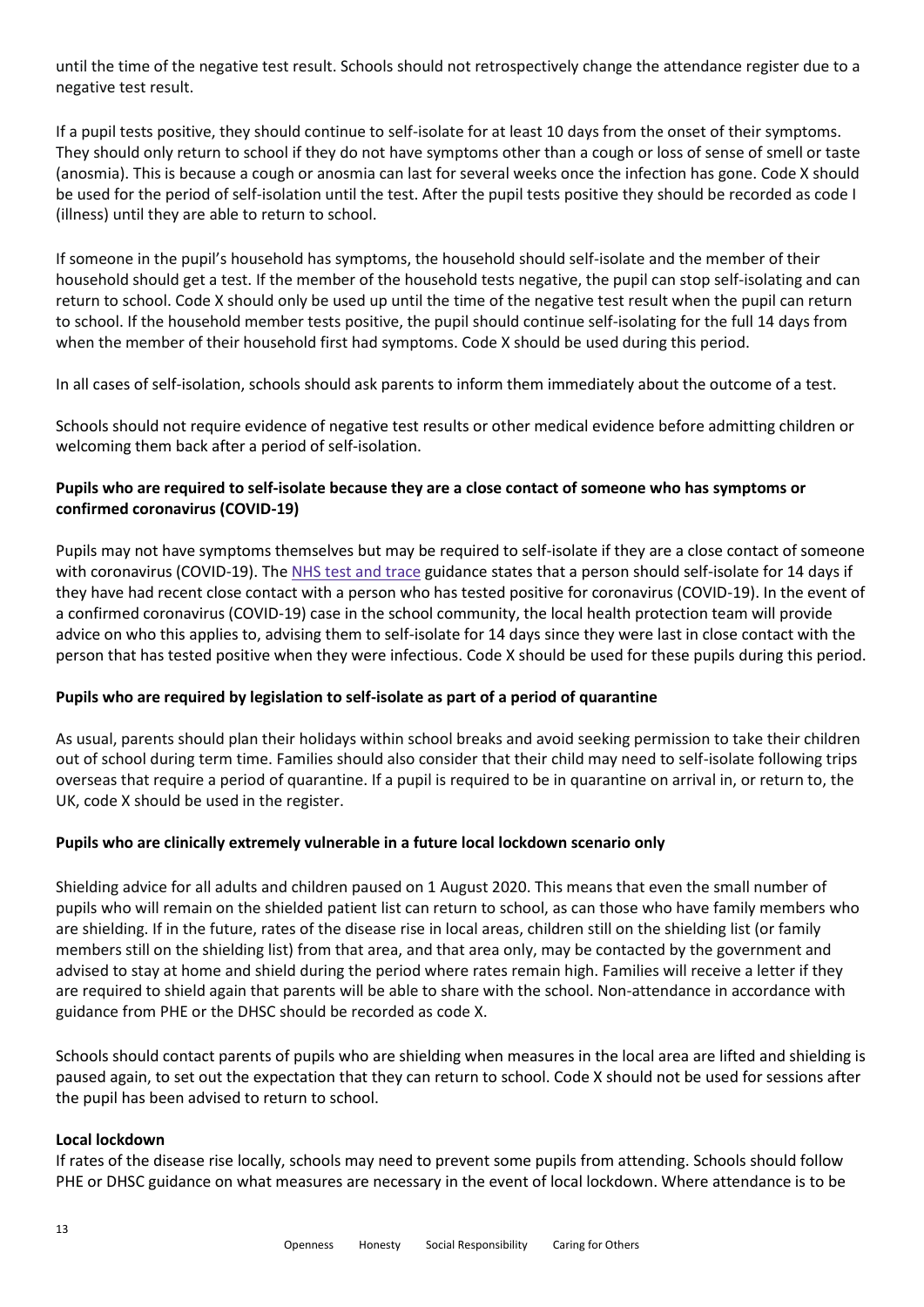until the time of the negative test result. Schools should not retrospectively change the attendance register due to a negative test result.

If a pupil tests positive, they should continue to self-isolate for at least 10 days from the onset of their symptoms. They should only return to school if they do not have symptoms other than a cough or loss of sense of smell or taste (anosmia). This is because a cough or anosmia can last for several weeks once the infection has gone. Code X should be used for the period of self-isolation until the test. After the pupil tests positive they should be recorded as code I (illness) until they are able to return to school.

If someone in the pupil's household has symptoms, the household should self-isolate and the member of their household should get a test. If the member of the household tests negative, the pupil can stop self-isolating and can return to school. Code X should only be used up until the time of the negative test result when the pupil can return to school. If the household member tests positive, the pupil should continue self-isolating for the full 14 days from when the member of their household first had symptoms. Code X should be used during this period.

In all cases of self-isolation, schools should ask parents to inform them immediately about the outcome of a test.

Schools should not require evidence of negative test results or other medical evidence before admitting children or welcoming them back after a period of self-isolation.

# **Pupils who are required to self-isolate because they are a close contact of someone who has symptoms or confirmed coronavirus (COVID-19)**

Pupils may not have symptoms themselves but may be required to self-isolate if they are a close contact of someone with coronavirus (COVID-19). The NHS test and [trace](https://www.gov.uk/guidance/nhs-test-and-trace-how-it-works#people-who-have-had-close-contact-with-someone-who-has-coronavirus) guidance states that a person should self-isolate for 14 days if they have had recent close contact with a person who has tested positive for coronavirus (COVID-19). In the event of a confirmed coronavirus (COVID-19) case in the school community, the local health protection team will provide advice on who this applies to, advising them to self-isolate for 14 days since they were last in close contact with the person that has tested positive when they were infectious. Code X should be used for these pupils during this period.

# **Pupils who are required by legislation to self-isolate as part of a period of quarantine**

As usual, parents should plan their holidays within school breaks and avoid seeking permission to take their children out of school during term time. Families should also consider that their child may need to self-isolate following trips overseas that require a period of quarantine. If a pupil is required to be in quarantine on arrival in, or return to, the UK, code X should be used in the register.

# **Pupils who are clinically extremely vulnerable in a future local lockdown scenario only**

Shielding advice for all adults and children paused on 1 August 2020. This means that even the small number of pupils who will remain on the shielded patient list can return to school, as can those who have family members who are shielding. If in the future, rates of the disease rise in local areas, children still on the shielding list (or family members still on the shielding list) from that area, and that area only, may be contacted by the government and advised to stay at home and shield during the period where rates remain high. Families will receive a letter if they are required to shield again that parents will be able to share with the school. Non-attendance in accordance with guidance from PHE or the DHSC should be recorded as code X.

Schools should contact parents of pupils who are shielding when measures in the local area are lifted and shielding is paused again, to set out the expectation that they can return to school. Code X should not be used for sessions after the pupil has been advised to return to school.

#### **Local lockdown**

If rates of the disease rise locally, schools may need to prevent some pupils from attending. Schools should follow PHE or DHSC guidance on what measures are necessary in the event of local lockdown. Where attendance is to be